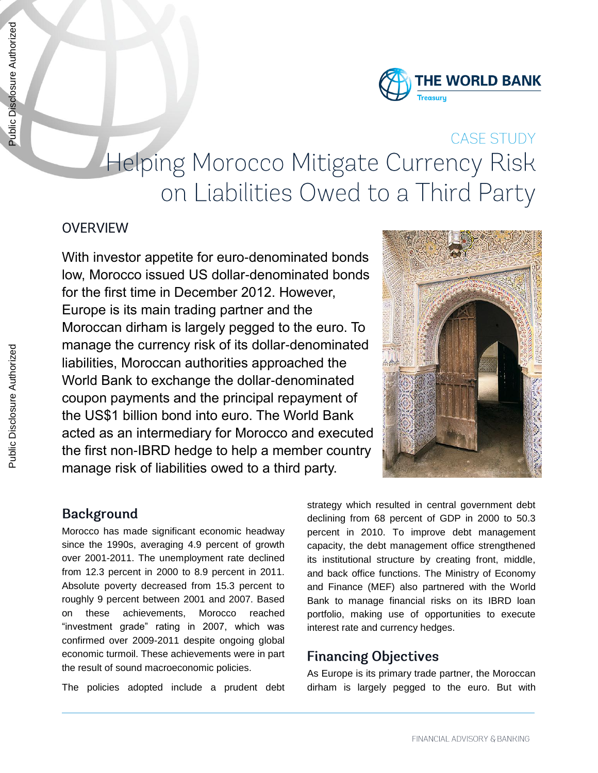

# **CASE STUDY** Helping Morocco Mitigate Currency Risk on Liabilities Owed to a Third Party

#### **OVERVIEW**

With investor appetite for euro-denominated bonds low, Morocco issued US dollar-denominated bonds for the first time in December 2012. However, Europe is its main trading partner and the Moroccan dirham is largely pegged to the euro. To manage the currency risk of its dollar-denominated liabilities, Moroccan authorities approached the World Bank to exchange the dollar-denominated coupon payments and the principal repayment of the US\$1 billion bond into euro. The World Bank acted as an intermediary for Morocco and executed the first non-IBRD hedge to help a member country manage risk of liabilities owed to a third party.



#### **Background**

Morocco has made significant economic headway since the 1990s, averaging 4.9 percent of growth over 2001-2011. The unemployment rate declined from 12.3 percent in 2000 to 8.9 percent in 2011. Absolute poverty decreased from 15.3 percent to roughly 9 percent between 2001 and 2007. Based on these achievements, Morocco reached "investment grade" rating in 2007, which was confirmed over 2009-2011 despite ongoing global economic turmoil. These achievements were in part the result of sound macroeconomic policies.

The policies adopted include a prudent debt

strategy which resulted in central government debt declining from 68 percent of GDP in 2000 to 50.3 percent in 2010. To improve debt management capacity, the debt management office strengthened its institutional structure by creating front, middle, and back office functions. The Ministry of Economy and Finance (MEF) also partnered with the World Bank to manage financial risks on its IBRD loan portfolio, making use of opportunities to execute interest rate and currency hedges.

#### **Financing Objectives**

As Europe is its primary trade partner, the Moroccan dirham is largely pegged to the euro. But with